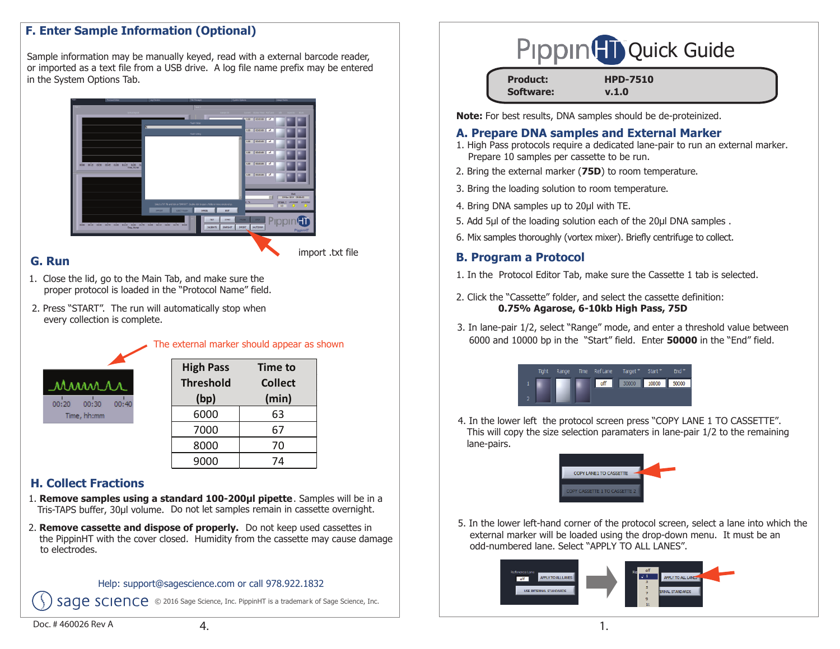# **F. Enter Sample Information (Optional)**

Sample information may be manually keyed, read with a external barcode reader, or imported as a text file from a USB drive. A log file name prefix may be entered in the System Options Tab.



#### **G. Run**

import .txt file

- 1. Close the lid, go to the Main Tab, and make sure the proper protocol is loaded in the "Protocol Name" field.
- 2. Press "START". The run will automatically stop when every collection is complete.



| <b>High Pass</b><br><b>Threshold</b><br>(bp) | <b>Time to</b><br><b>Collect</b><br>(min) |  |  |
|----------------------------------------------|-------------------------------------------|--|--|
| 6000                                         | 63                                        |  |  |
| 7000                                         | 67                                        |  |  |
| 8000                                         | 70                                        |  |  |
| 9000                                         | 74                                        |  |  |

The external marker should appear as shown

# **H. Collect Fractions**

- Tris-TAPS buffer, 30µl volume. Do not let samples remain in cassette overnight. 1. **Remove samples using a standard 100-200µl pipette**. Samples will be in a
- 2. **Remove cassette and dispose of properly.** Do not keep used cassettes in the PippinHT with the cover closed. Humidity from the cassette may cause damage to electrodes.

#### Help: support@sagescience.com or call 978.922.1832

SADE SCIENCE © 2016 Sage Science, Inc. PippinHT is a trademark of Sage Science, Inc.



| <b>Product:</b>  | <b>HPD-7510</b> |
|------------------|-----------------|
| <b>Software:</b> | v.1.0           |

**Note:** For best results, DNA samples should be de-proteinized.

#### **A. Prepare DNA samples and External Marker**

- 1. High Pass protocols require a dedicated lane-pair to run an external marker. Prepare 10 samples per cassette to be run.
- 2. Bring the external marker (**75D**) to room temperature.
- 3. Bring the loading solution to room temperature.
- 4. Bring DNA samples up to 20μl with TE.
- 5. Add 5μl of the loading solution each of the 20μl DNA samples.
- 6. Mix samples thoroughly (vortex mixer). Briefly centrifuge to collect.

# **B. Program a Protocol**

- 1. In the Protocol Editor Tab, make sure the Cassette 1 tab is selected.
- 2. Click the "Cassette" folder, and select the cassette definition:  **0.75% Agarose, 6-10kb High Pass, 75D**
- 3. In lane-pair 1/2, select "Range" mode, and enter a threshold value between 6000 and 10000 bp in the "Start" field. Enter **<sup>50000</sup>** in the "End" field.

| <b>Tight</b> | Range |     | Time RefLane Target* Start* |       | $End*$ |
|--------------|-------|-----|-----------------------------|-------|--------|
|              |       | off | 30000                       | 10000 | 50000  |
|              |       |     |                             |       |        |

4. In the lower left the protocol screen press "COPY LANE 1 TO CASSETTE". This will copy the size selection paramaters in lane-pair 1/2 to the remaining lane-pairs.



5. In the lower left-hand corner of the protocol screen, select a lane into which the external marker will be loaded using the drop-down menu. It must be an odd-numbered lane. Select "APPLY TO ALL LANES".



Doc. # 460026 Rev A